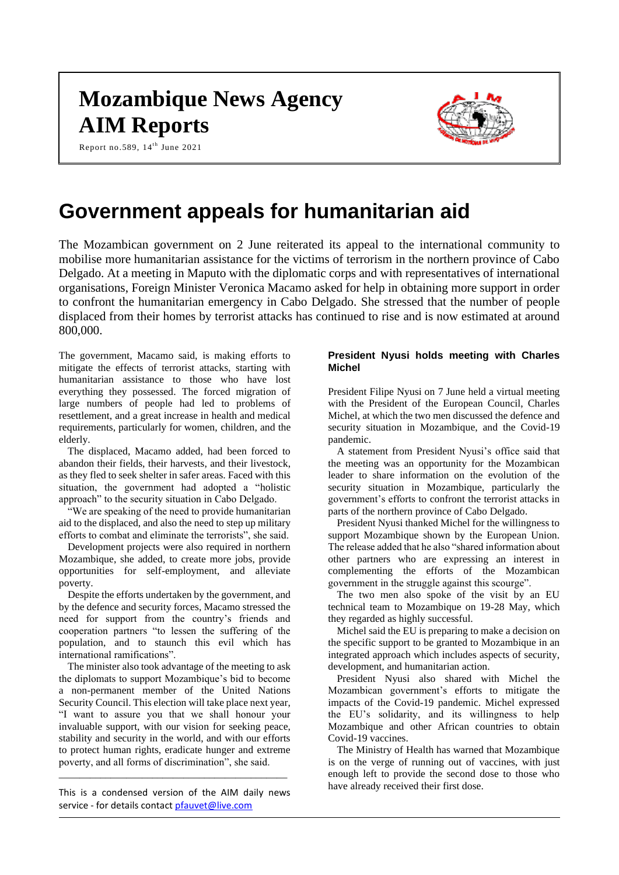# **Mozambique News Agency AIM Reports**



Report no.589, 14<sup>th</sup> June 2021

# **Government appeals for humanitarian aid**

The Mozambican government on 2 June reiterated its appeal to the international community to mobilise more humanitarian assistance for the victims of terrorism in the northern province of Cabo Delgado. At a meeting in Maputo with the diplomatic corps and with representatives of international organisations, Foreign Minister Veronica Macamo asked for help in obtaining more support in order to confront the humanitarian emergency in Cabo Delgado. She stressed that the number of people displaced from their homes by terrorist attacks has continued to rise and is now estimated at around 800,000.

The government, Macamo said, is making efforts to mitigate the effects of terrorist attacks, starting with humanitarian assistance to those who have lost everything they possessed. The forced migration of large numbers of people had led to problems of resettlement, and a great increase in health and medical requirements, particularly for women, children, and the elderly.

The displaced, Macamo added, had been forced to abandon their fields, their harvests, and their livestock, as they fled to seek shelter in safer areas. Faced with this situation, the government had adopted a "holistic approach" to the security situation in Cabo Delgado.

"We are speaking of the need to provide humanitarian aid to the displaced, and also the need to step up military efforts to combat and eliminate the terrorists", she said.

Development projects were also required in northern Mozambique, she added, to create more jobs, provide opportunities for self-employment, and alleviate poverty.

Despite the efforts undertaken by the government, and by the defence and security forces, Macamo stressed the need for support from the country's friends and cooperation partners "to lessen the suffering of the population, and to staunch this evil which has international ramifications".

The minister also took advantage of the meeting to ask the diplomats to support Mozambique's bid to become a non-permanent member of the United Nations Security Council. This election will take place next year, "I want to assure you that we shall honour your invaluable support, with our vision for seeking peace, stability and security in the world, and with our efforts to protect human rights, eradicate hunger and extreme poverty, and all forms of discrimination", she said.

This is a condensed version of the AIM daily news service - for details contac[t pfauvet@live.com](mailto:pfauvet@live.com)

\_\_\_\_\_\_\_\_\_\_\_\_\_\_\_\_\_\_\_\_\_\_\_\_\_\_\_\_\_\_\_\_\_\_\_\_\_\_\_\_\_\_\_\_

# **President Nyusi holds meeting with Charles Michel**

President Filipe Nyusi on 7 June held a virtual meeting with the President of the European Council, Charles Michel, at which the two men discussed the defence and security situation in Mozambique, and the Covid-19 pandemic.

A statement from President Nyusi's office said that the meeting was an opportunity for the Mozambican leader to share information on the evolution of the security situation in Mozambique, particularly the government's efforts to confront the terrorist attacks in parts of the northern province of Cabo Delgado.

President Nyusi thanked Michel for the willingness to support Mozambique shown by the European Union. The release added that he also "shared information about other partners who are expressing an interest in complementing the efforts of the Mozambican government in the struggle against this scourge".

The two men also spoke of the visit by an EU technical team to Mozambique on 19-28 May, which they regarded as highly successful.

Michel said the EU is preparing to make a decision on the specific support to be granted to Mozambique in an integrated approach which includes aspects of security, development, and humanitarian action.

President Nyusi also shared with Michel the Mozambican government's efforts to mitigate the impacts of the Covid-19 pandemic. Michel expressed the EU's solidarity, and its willingness to help Mozambique and other African countries to obtain Covid-19 vaccines.

The Ministry of Health has warned that Mozambique is on the verge of running out of vaccines, with just enough left to provide the second dose to those who have already received their first dose.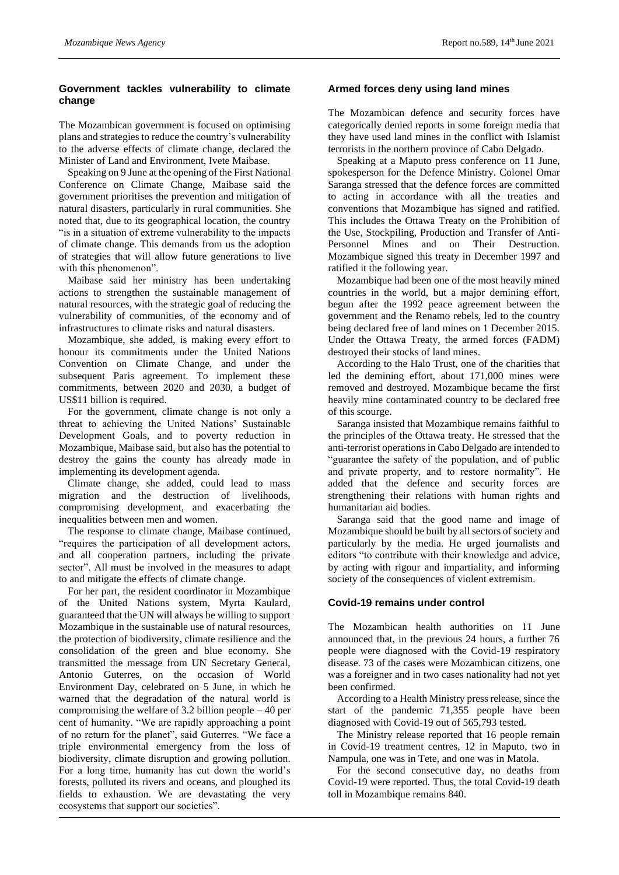# **Government tackles vulnerability to climate change**

The Mozambican government is focused on optimising plans and strategies to reduce the country's vulnerability to the adverse effects of climate change, declared the Minister of Land and Environment, Ivete Maibase.

Speaking on 9 June at the opening of the First National Conference on Climate Change, Maibase said the government prioritises the prevention and mitigation of natural disasters, particularly in rural communities. She noted that, due to its geographical location, the country "is in a situation of extreme vulnerability to the impacts of climate change. This demands from us the adoption of strategies that will allow future generations to live with this phenomenon".

Maibase said her ministry has been undertaking actions to strengthen the sustainable management of natural resources, with the strategic goal of reducing the vulnerability of communities, of the economy and of infrastructures to climate risks and natural disasters.

Mozambique, she added, is making every effort to honour its commitments under the United Nations Convention on Climate Change, and under the subsequent Paris agreement. To implement these commitments, between 2020 and 2030, a budget of US\$11 billion is required.

For the government, climate change is not only a threat to achieving the United Nations' Sustainable Development Goals, and to poverty reduction in Mozambique, Maibase said, but also has the potential to destroy the gains the county has already made in implementing its development agenda.

Climate change, she added, could lead to mass migration and the destruction of livelihoods, compromising development, and exacerbating the inequalities between men and women.

The response to climate change, Maibase continued, "requires the participation of all development actors, and all cooperation partners, including the private sector". All must be involved in the measures to adapt to and mitigate the effects of climate change.

For her part, the resident coordinator in Mozambique of the United Nations system, Myrta Kaulard, guaranteed that the UN will always be willing to support Mozambique in the sustainable use of natural resources, the protection of biodiversity, climate resilience and the consolidation of the green and blue economy. She transmitted the message from UN Secretary General, Antonio Guterres, on the occasion of World Environment Day, celebrated on 5 June, in which he warned that the degradation of the natural world is compromising the welfare of 3.2 billion people – 40 per cent of humanity. "We are rapidly approaching a point of no return for the planet", said Guterres. "We face a triple environmental emergency from the loss of biodiversity, climate disruption and growing pollution. For a long time, humanity has cut down the world's forests, polluted its rivers and oceans, and ploughed its fields to exhaustion. We are devastating the very ecosystems that support our societies".

# **Armed forces deny using land mines**

The Mozambican defence and security forces have categorically denied reports in some foreign media that they have used land mines in the conflict with Islamist terrorists in the northern province of Cabo Delgado.

Speaking at a Maputo press conference on 11 June, spokesperson for the Defence Ministry. Colonel Omar Saranga stressed that the defence forces are committed to acting in accordance with all the treaties and conventions that Mozambique has signed and ratified. This includes the Ottawa Treaty on the Prohibition of the Use, Stockpiling, Production and Transfer of Anti-Personnel Mines and on Their Destruction. Mozambique signed this treaty in December 1997 and ratified it the following year.

Mozambique had been one of the most heavily mined countries in the world, but a major demining effort, begun after the 1992 peace agreement between the government and the Renamo rebels, led to the country being declared free of land mines on 1 December 2015. Under the Ottawa Treaty, the armed forces (FADM) destroyed their stocks of land mines.

According to the Halo Trust, one of the charities that led the demining effort, about 171,000 mines were removed and destroyed. Mozambique became the first heavily mine contaminated country to be declared free of this scourge.

Saranga insisted that Mozambique remains faithful to the principles of the Ottawa treaty. He stressed that the anti-terrorist operations in Cabo Delgado are intended to "guarantee the safety of the population, and of public and private property, and to restore normality". He added that the defence and security forces are strengthening their relations with human rights and humanitarian aid bodies.

Saranga said that the good name and image of Mozambique should be built by all sectors of society and particularly by the media. He urged journalists and editors "to contribute with their knowledge and advice, by acting with rigour and impartiality, and informing society of the consequences of violent extremism.

# **Covid-19 remains under control**

The Mozambican health authorities on 11 June announced that, in the previous 24 hours, a further 76 people were diagnosed with the Covid-19 respiratory disease. 73 of the cases were Mozambican citizens, one was a foreigner and in two cases nationality had not yet been confirmed.

According to a Health Ministry press release, since the start of the pandemic 71,355 people have been diagnosed with Covid-19 out of 565,793 tested.

The Ministry release reported that 16 people remain in Covid-19 treatment centres, 12 in Maputo, two in Nampula, one was in Tete, and one was in Matola.

For the second consecutive day, no deaths from Covid-19 were reported. Thus, the total Covid-19 death toll in Mozambique remains 840.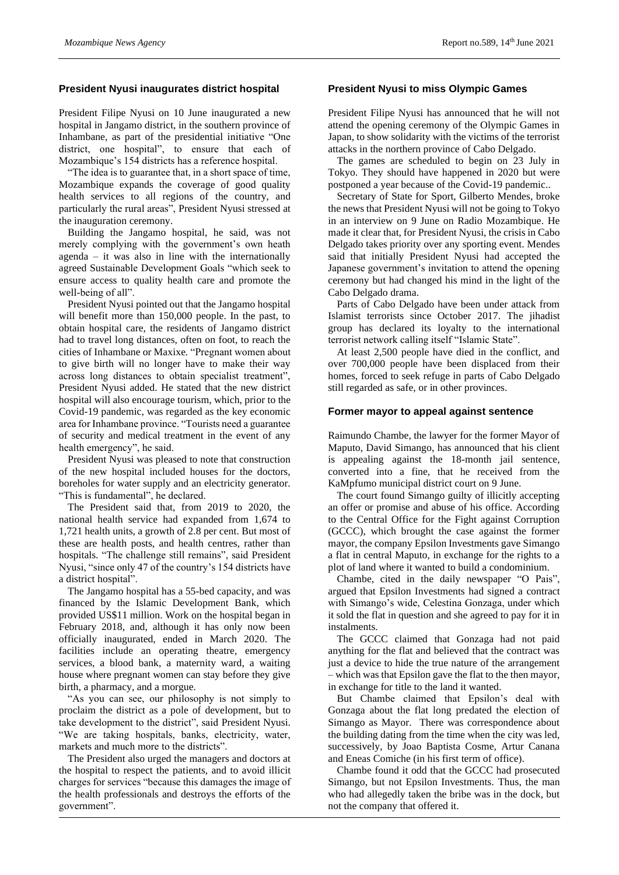## **President Nyusi inaugurates district hospital**

President Filipe Nyusi on 10 June inaugurated a new hospital in Jangamo district, in the southern province of Inhambane, as part of the presidential initiative "One district, one hospital", to ensure that each of Mozambique's 154 districts has a reference hospital.

"The idea is to guarantee that, in a short space of time, Mozambique expands the coverage of good quality health services to all regions of the country, and particularly the rural areas", President Nyusi stressed at the inauguration ceremony.

Building the Jangamo hospital, he said, was not merely complying with the government's own heath agenda – it was also in line with the internationally agreed Sustainable Development Goals "which seek to ensure access to quality health care and promote the well-being of all".

President Nyusi pointed out that the Jangamo hospital will benefit more than 150,000 people. In the past, to obtain hospital care, the residents of Jangamo district had to travel long distances, often on foot, to reach the cities of Inhambane or Maxixe. "Pregnant women about to give birth will no longer have to make their way across long distances to obtain specialist treatment", President Nyusi added. He stated that the new district hospital will also encourage tourism, which, prior to the Covid-19 pandemic, was regarded as the key economic area for Inhambane province. "Tourists need a guarantee of security and medical treatment in the event of any health emergency", he said.

President Nyusi was pleased to note that construction of the new hospital included houses for the doctors, boreholes for water supply and an electricity generator. "This is fundamental", he declared.

The President said that, from 2019 to 2020, the national health service had expanded from 1,674 to 1,721 health units, a growth of 2.8 per cent. But most of these are health posts, and health centres, rather than hospitals. "The challenge still remains", said President Nyusi, "since only 47 of the country's 154 districts have a district hospital".

The Jangamo hospital has a 55-bed capacity, and was financed by the Islamic Development Bank, which provided US\$11 million. Work on the hospital began in February 2018, and, although it has only now been officially inaugurated, ended in March 2020. The facilities include an operating theatre, emergency services, a blood bank, a maternity ward, a waiting house where pregnant women can stay before they give birth, a pharmacy, and a morgue.

"As you can see, our philosophy is not simply to proclaim the district as a pole of development, but to take development to the district", said President Nyusi. "We are taking hospitals, banks, electricity, water, markets and much more to the districts".

The President also urged the managers and doctors at the hospital to respect the patients, and to avoid illicit charges for services "because this damages the image of the health professionals and destroys the efforts of the government".

#### **President Nyusi to miss Olympic Games**

President Filipe Nyusi has announced that he will not attend the opening ceremony of the Olympic Games in Japan, to show solidarity with the victims of the terrorist attacks in the northern province of Cabo Delgado.

The games are scheduled to begin on 23 July in Tokyo. They should have happened in 2020 but were postponed a year because of the Covid-19 pandemic..

Secretary of State for Sport, Gilberto Mendes, broke the news that President Nyusi will not be going to Tokyo in an interview on 9 June on Radio Mozambique. He made it clear that, for President Nyusi, the crisis in Cabo Delgado takes priority over any sporting event. Mendes said that initially President Nyusi had accepted the Japanese government's invitation to attend the opening ceremony but had changed his mind in the light of the Cabo Delgado drama.

Parts of Cabo Delgado have been under attack from Islamist terrorists since October 2017. The jihadist group has declared its loyalty to the international terrorist network calling itself "Islamic State".

At least 2,500 people have died in the conflict, and over 700,000 people have been displaced from their homes, forced to seek refuge in parts of Cabo Delgado still regarded as safe, or in other provinces.

#### **Former mayor to appeal against sentence**

Raimundo Chambe, the lawyer for the former Mayor of Maputo, David Simango, has announced that his client is appealing against the 18-month jail sentence, converted into a fine, that he received from the KaMpfumo municipal district court on 9 June.

The court found Simango guilty of illicitly accepting an offer or promise and abuse of his office. According to the Central Office for the Fight against Corruption (GCCC), which brought the case against the former mayor, the company Epsilon Investments gave Simango a flat in central Maputo, in exchange for the rights to a plot of land where it wanted to build a condominium.

Chambe, cited in the daily newspaper "O Pais", argued that Epsilon Investments had signed a contract with Simango's wide, Celestina Gonzaga, under which it sold the flat in question and she agreed to pay for it in instalments.

The GCCC claimed that Gonzaga had not paid anything for the flat and believed that the contract was just a device to hide the true nature of the arrangement – which was that Epsilon gave the flat to the then mayor, in exchange for title to the land it wanted.

But Chambe claimed that Epsilon's deal with Gonzaga about the flat long predated the election of Simango as Mayor. There was correspondence about the building dating from the time when the city was led, successively, by Joao Baptista Cosme, Artur Canana and Eneas Comiche (in his first term of office).

Chambe found it odd that the GCCC had prosecuted Simango, but not Epsilon Investments. Thus, the man who had allegedly taken the bribe was in the dock, but not the company that offered it.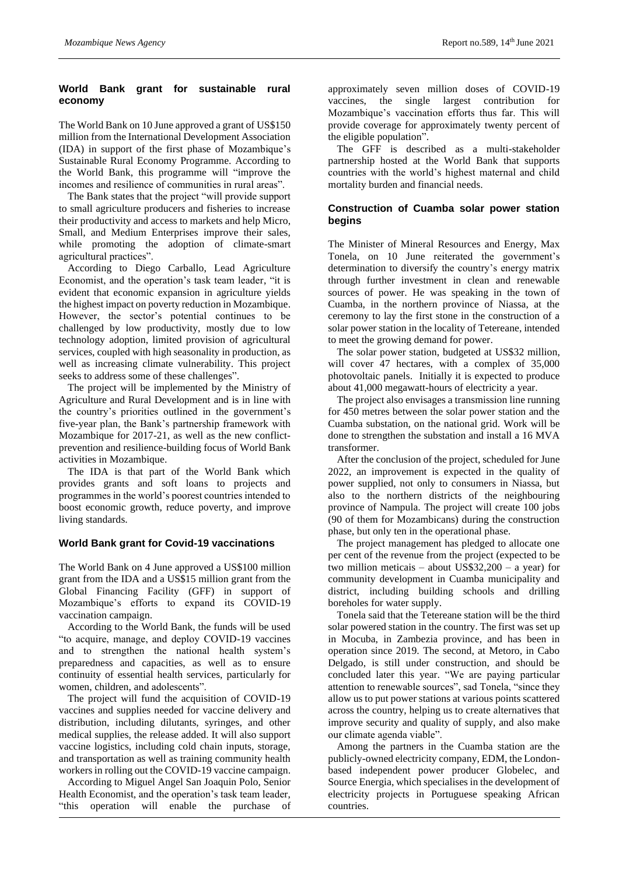## **World Bank grant for sustainable rural economy**

The World Bank on 10 June approved a grant of US\$150 million from the International Development Association (IDA) in support of the first phase of Mozambique's Sustainable Rural Economy Programme. According to the World Bank, this programme will "improve the incomes and resilience of communities in rural areas".

The Bank states that the project "will provide support to small agriculture producers and fisheries to increase their productivity and access to markets and help Micro, Small, and Medium Enterprises improve their sales, while promoting the adoption of climate-smart agricultural practices".

According to Diego Carballo, Lead Agriculture Economist, and the operation's task team leader, "it is evident that economic expansion in agriculture yields the highest impact on poverty reduction in Mozambique. However, the sector's potential continues to be challenged by low productivity, mostly due to low technology adoption, limited provision of agricultural services, coupled with high seasonality in production, as well as increasing climate vulnerability. This project seeks to address some of these challenges".

The project will be implemented by the Ministry of Agriculture and Rural Development and is in line with the country's priorities outlined in the government's five-year plan, the Bank's partnership framework with Mozambique for 2017-21, as well as the new conflictprevention and resilience-building focus of World Bank activities in Mozambique.

The IDA is that part of the World Bank which provides grants and soft loans to projects and programmes in the world's poorest countries intended to boost economic growth, reduce poverty, and improve living standards.

## **World Bank grant for Covid-19 vaccinations**

The World Bank on 4 June approved a US\$100 million grant from the IDA and a US\$15 million grant from the Global Financing Facility (GFF) in support of Mozambique's efforts to expand its COVID-19 vaccination campaign.

According to the World Bank, the funds will be used "to acquire, manage, and deploy COVID-19 vaccines and to strengthen the national health system's preparedness and capacities, as well as to ensure continuity of essential health services, particularly for women, children, and adolescents".

The project will fund the acquisition of COVID-19 vaccines and supplies needed for vaccine delivery and distribution, including dilutants, syringes, and other medical supplies, the release added. It will also support vaccine logistics, including cold chain inputs, storage, and transportation as well as training community health workers in rolling out the COVID-19 vaccine campaign.

According to Miguel Angel San Joaquin Polo, Senior Health Economist, and the operation's task team leader, "this operation will enable the purchase of approximately seven million doses of COVID-19 vaccines, the single largest contribution for Mozambique's vaccination efforts thus far. This will provide coverage for approximately twenty percent of the eligible population".

The GFF is described as a multi-stakeholder partnership hosted at the World Bank that supports countries with the world's highest maternal and child mortality burden and financial needs.

# **Construction of Cuamba solar power station begins**

The Minister of Mineral Resources and Energy, Max Tonela, on 10 June reiterated the government's determination to diversify the country's energy matrix through further investment in clean and renewable sources of power. He was speaking in the town of Cuamba, in the northern province of Niassa, at the ceremony to lay the first stone in the construction of a solar power station in the locality of Tetereane, intended to meet the growing demand for power.

The solar power station, budgeted at US\$32 million, will cover 47 hectares, with a complex of 35,000 photovoltaic panels. Initially it is expected to produce about 41,000 megawatt-hours of electricity a year.

The project also envisages a transmission line running for 450 metres between the solar power station and the Cuamba substation, on the national grid. Work will be done to strengthen the substation and install a 16 MVA transformer.

After the conclusion of the project, scheduled for June 2022, an improvement is expected in the quality of power supplied, not only to consumers in Niassa, but also to the northern districts of the neighbouring province of Nampula. The project will create 100 jobs (90 of them for Mozambicans) during the construction phase, but only ten in the operational phase.

The project management has pledged to allocate one per cent of the revenue from the project (expected to be two million meticais – about US\$32,200 – a year) for community development in Cuamba municipality and district, including building schools and drilling boreholes for water supply.

Tonela said that the Tetereane station will be the third solar powered station in the country. The first was set up in Mocuba, in Zambezia province, and has been in operation since 2019. The second, at Metoro, in Cabo Delgado, is still under construction, and should be concluded later this year. "We are paying particular attention to renewable sources", sad Tonela, "since they allow us to put power stations at various points scattered across the country, helping us to create alternatives that improve security and quality of supply, and also make our climate agenda viable".

Among the partners in the Cuamba station are the publicly-owned electricity company, EDM, the Londonbased independent power producer Globelec, and Source Energia, which specialises in the development of electricity projects in Portuguese speaking African countries.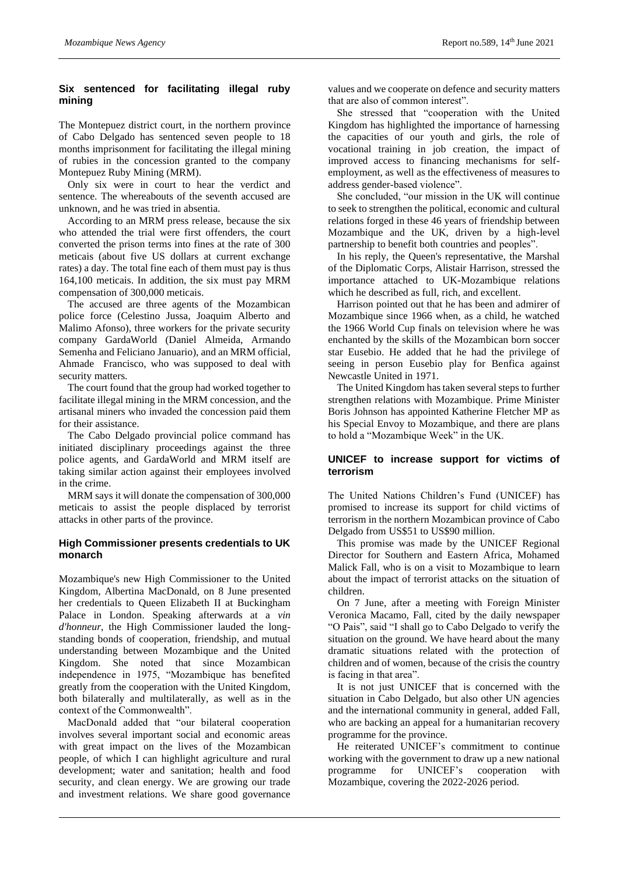# **Six sentenced for facilitating illegal ruby mining**

The Montepuez district court, in the northern province of Cabo Delgado has sentenced seven people to 18 months imprisonment for facilitating the illegal mining of rubies in the concession granted to the company Montepuez Ruby Mining (MRM).

Only six were in court to hear the verdict and sentence. The whereabouts of the seventh accused are unknown, and he was tried in absentia.

According to an MRM press release, because the six who attended the trial were first offenders, the court converted the prison terms into fines at the rate of 300 meticais (about five US dollars at current exchange rates) a day. The total fine each of them must pay is thus 164,100 meticais. In addition, the six must pay MRM compensation of 300,000 meticais.

The accused are three agents of the Mozambican police force (Celestino Jussa, Joaquim Alberto and Malimo Afonso), three workers for the private security company GardaWorld (Daniel Almeida, Armando Semenha and Feliciano Januario), and an MRM official, Ahmade Francisco, who was supposed to deal with security matters.

The court found that the group had worked together to facilitate illegal mining in the MRM concession, and the artisanal miners who invaded the concession paid them for their assistance.

The Cabo Delgado provincial police command has initiated disciplinary proceedings against the three police agents, and GardaWorld and MRM itself are taking similar action against their employees involved in the crime.

MRM says it will donate the compensation of 300,000 meticais to assist the people displaced by terrorist attacks in other parts of the province.

# **High Commissioner presents credentials to UK monarch**

Mozambique's new High Commissioner to the United Kingdom, Albertina MacDonald, on 8 June presented her credentials to Queen Elizabeth II at Buckingham Palace in London. Speaking afterwards at a *vin d'honneur*, the High Commissioner lauded the longstanding bonds of cooperation, friendship, and mutual understanding between Mozambique and the United Kingdom. She noted that since Mozambican independence in 1975, "Mozambique has benefited greatly from the cooperation with the United Kingdom, both bilaterally and multilaterally, as well as in the context of the Commonwealth".

MacDonald added that "our bilateral cooperation involves several important social and economic areas with great impact on the lives of the Mozambican people, of which I can highlight agriculture and rural development; water and sanitation; health and food security, and clean energy. We are growing our trade and investment relations. We share good governance

values and we cooperate on defence and security matters that are also of common interest".

She stressed that "cooperation with the United Kingdom has highlighted the importance of harnessing the capacities of our youth and girls, the role of vocational training in job creation, the impact of improved access to financing mechanisms for selfemployment, as well as the effectiveness of measures to address gender-based violence".

She concluded, "our mission in the UK will continue to seek to strengthen the political, economic and cultural relations forged in these 46 years of friendship between Mozambique and the UK, driven by a high-level partnership to benefit both countries and peoples".

In his reply, the Queen's representative, the Marshal of the Diplomatic Corps, Alistair Harrison, stressed the importance attached to UK-Mozambique relations which he described as full, rich, and excellent.

Harrison pointed out that he has been and admirer of Mozambique since 1966 when, as a child, he watched the 1966 World Cup finals on television where he was enchanted by the skills of the Mozambican born soccer star Eusebio. He added that he had the privilege of seeing in person Eusebio play for Benfica against Newcastle United in 1971.

The United Kingdom has taken several steps to further strengthen relations with Mozambique. Prime Minister Boris Johnson has appointed Katherine Fletcher MP as his Special Envoy to Mozambique, and there are plans to hold a "Mozambique Week" in the UK.

# **UNICEF to increase support for victims of terrorism**

The United Nations Children's Fund (UNICEF) has promised to increase its support for child victims of terrorism in the northern Mozambican province of Cabo Delgado from US\$51 to US\$90 million.

This promise was made by the UNICEF Regional Director for Southern and Eastern Africa, Mohamed Malick Fall, who is on a visit to Mozambique to learn about the impact of terrorist attacks on the situation of children.

On 7 June, after a meeting with Foreign Minister Veronica Macamo, Fall, cited by the daily newspaper "O Pais", said "I shall go to Cabo Delgado to verify the situation on the ground. We have heard about the many dramatic situations related with the protection of children and of women, because of the crisis the country is facing in that area".

It is not just UNICEF that is concerned with the situation in Cabo Delgado, but also other UN agencies and the international community in general, added Fall, who are backing an appeal for a humanitarian recovery programme for the province.

He reiterated UNICEF's commitment to continue working with the government to draw up a new national programme for UNICEF's cooperation with Mozambique, covering the 2022-2026 period.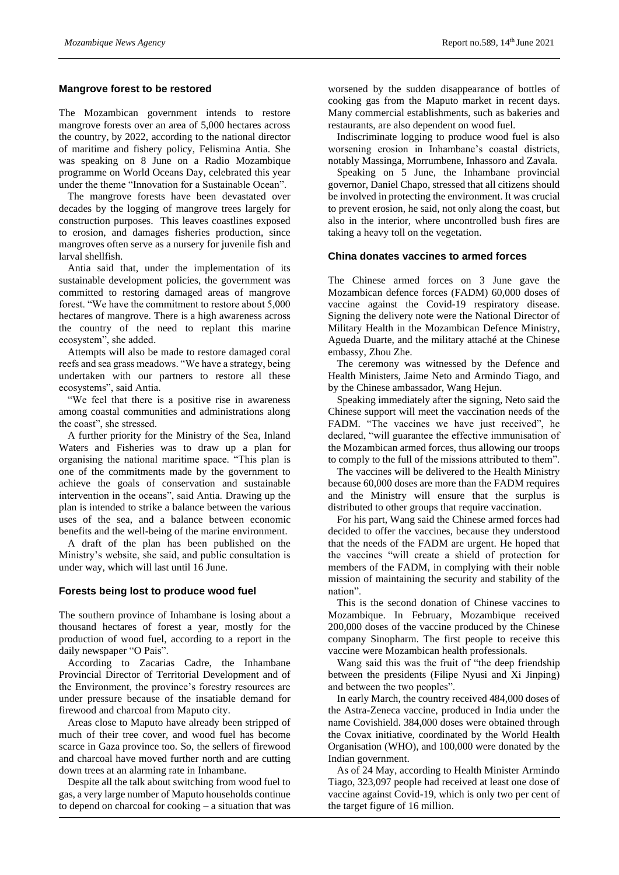#### **Mangrove forest to be restored**

The Mozambican government intends to restore mangrove forests over an area of 5,000 hectares across the country, by 2022, according to the national director of maritime and fishery policy, Felismina Antia. She was speaking on 8 June on a Radio Mozambique programme on World Oceans Day, celebrated this year under the theme "Innovation for a Sustainable Ocean".

The mangrove forests have been devastated over decades by the logging of mangrove trees largely for construction purposes. This leaves coastlines exposed to erosion, and damages fisheries production, since mangroves often serve as a nursery for juvenile fish and larval shellfish.

Antia said that, under the implementation of its sustainable development policies, the government was committed to restoring damaged areas of mangrove forest. "We have the commitment to restore about 5,000 hectares of mangrove. There is a high awareness across the country of the need to replant this marine ecosystem", she added.

Attempts will also be made to restore damaged coral reefs and sea grass meadows. "We have a strategy, being undertaken with our partners to restore all these ecosystems", said Antia.

"We feel that there is a positive rise in awareness among coastal communities and administrations along the coast", she stressed.

A further priority for the Ministry of the Sea, Inland Waters and Fisheries was to draw up a plan for organising the national maritime space. "This plan is one of the commitments made by the government to achieve the goals of conservation and sustainable intervention in the oceans", said Antia. Drawing up the plan is intended to strike a balance between the various uses of the sea, and a balance between economic benefits and the well-being of the marine environment.

A draft of the plan has been published on the Ministry's website, she said, and public consultation is under way, which will last until 16 June.

## **Forests being lost to produce wood fuel**

The southern province of Inhambane is losing about a thousand hectares of forest a year, mostly for the production of wood fuel, according to a report in the daily newspaper "O Pais".

According to Zacarias Cadre, the Inhambane Provincial Director of Territorial Development and of the Environment, the province's forestry resources are under pressure because of the insatiable demand for firewood and charcoal from Maputo city.

Areas close to Maputo have already been stripped of much of their tree cover, and wood fuel has become scarce in Gaza province too. So, the sellers of firewood and charcoal have moved further north and are cutting down trees at an alarming rate in Inhambane.

Despite all the talk about switching from wood fuel to gas, a very large number of Maputo households continue to depend on charcoal for cooking – a situation that was worsened by the sudden disappearance of bottles of cooking gas from the Maputo market in recent days. Many commercial establishments, such as bakeries and restaurants, are also dependent on wood fuel.

Indiscriminate logging to produce wood fuel is also worsening erosion in Inhambane's coastal districts, notably Massinga, Morrumbene, Inhassoro and Zavala.

Speaking on 5 June, the Inhambane provincial governor, Daniel Chapo, stressed that all citizens should be involved in protecting the environment. It was crucial to prevent erosion, he said, not only along the coast, but also in the interior, where uncontrolled bush fires are taking a heavy toll on the vegetation.

# **China donates vaccines to armed forces**

The Chinese armed forces on 3 June gave the Mozambican defence forces (FADM) 60,000 doses of vaccine against the Covid-19 respiratory disease. Signing the delivery note were the National Director of Military Health in the Mozambican Defence Ministry, Agueda Duarte, and the military attaché at the Chinese embassy, Zhou Zhe.

The ceremony was witnessed by the Defence and Health Ministers, Jaime Neto and Armindo Tiago, and by the Chinese ambassador, Wang Hejun.

Speaking immediately after the signing, Neto said the Chinese support will meet the vaccination needs of the FADM. "The vaccines we have just received", he declared, "will guarantee the effective immunisation of the Mozambican armed forces, thus allowing our troops to comply to the full of the missions attributed to them".

The vaccines will be delivered to the Health Ministry because 60,000 doses are more than the FADM requires and the Ministry will ensure that the surplus is distributed to other groups that require vaccination.

For his part, Wang said the Chinese armed forces had decided to offer the vaccines, because they understood that the needs of the FADM are urgent. He hoped that the vaccines "will create a shield of protection for members of the FADM, in complying with their noble mission of maintaining the security and stability of the nation".

This is the second donation of Chinese vaccines to Mozambique. In February, Mozambique received 200,000 doses of the vaccine produced by the Chinese company Sinopharm. The first people to receive this vaccine were Mozambican health professionals.

Wang said this was the fruit of "the deep friendship between the presidents (Filipe Nyusi and Xi Jinping) and between the two peoples".

In early March, the country received 484,000 doses of the Astra-Zeneca vaccine, produced in India under the name Covishield. 384,000 doses were obtained through the Covax initiative, coordinated by the World Health Organisation (WHO), and 100,000 were donated by the Indian government.

As of 24 May, according to Health Minister Armindo Tiago, 323,097 people had received at least one dose of vaccine against Covid-19, which is only two per cent of the target figure of 16 million.